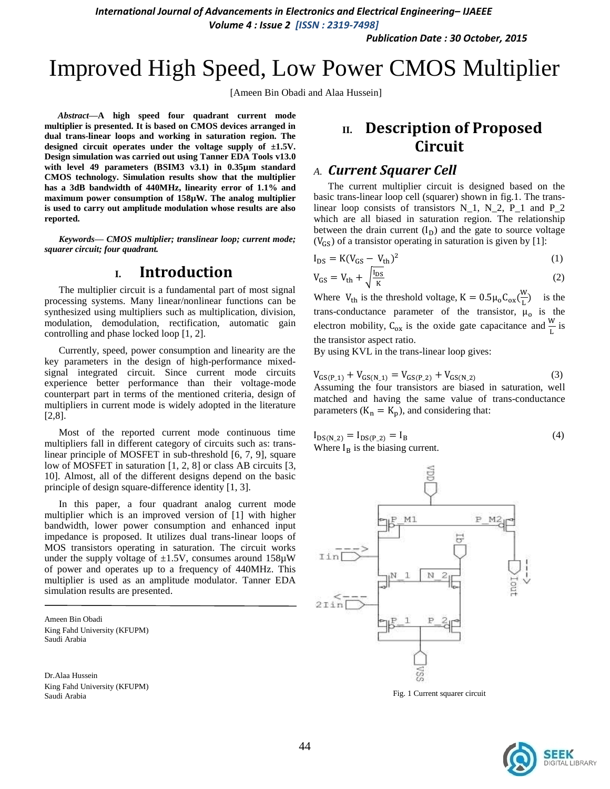*International Journal of Advancements in Electronics and Electrical Engineering– IJAEEE*

*Volume 4 : Issue 2 [ISSN : 2319-7498]* 

*Publication Date : 30 October, 2015*

# Improved High Speed, Low Power CMOS Multiplier

[Ameen Bin Obadi and Alaa Hussein]

*Abstract***—A high speed four quadrant current mode multiplier is presented. It is based on CMOS devices arranged in dual trans-linear loops and working in saturation region. The designed circuit operates under the voltage supply of ±1.5V. Design simulation was carried out using Tanner EDA Tools v13.0 with level 49 parameters (BSIM3 v3.1) in 0.35µm standard CMOS technology. Simulation results show that the multiplier has a 3dB bandwidth of 440MHz, linearity error of 1.1% and maximum power consumption of 158µW. The analog multiplier is used to carry out amplitude modulation whose results are also reported.**

*Keywords— CMOS multiplier; translinear loop; current mode; squarer circuit; four quadrant.*

## **I. Introduction**

The multiplier circuit is a fundamental part of most signal processing systems. Many linear/nonlinear functions can be synthesized using multipliers such as multiplication, division, modulation, demodulation, rectification, automatic gain controlling and phase locked loop [1, 2].

Currently, speed, power consumption and linearity are the key parameters in the design of high-performance mixedsignal integrated circuit. Since current mode circuits experience better performance than their voltage-mode counterpart part in terms of the mentioned criteria, design of multipliers in current mode is widely adopted in the literature [2,8].

Most of the reported current mode continuous time multipliers fall in different category of circuits such as: translinear principle of MOSFET in sub-threshold [6, 7, 9], square low of MOSFET in saturation [1, 2, 8] or class AB circuits [3, 10]. Almost, all of the different designs depend on the basic principle of design square-difference identity [1, 3].

In this paper, a four quadrant analog current mode multiplier which is an improved version of [1] with higher bandwidth, lower power consumption and enhanced input impedance is proposed. It utilizes dual trans-linear loops of MOS transistors operating in saturation. The circuit works under the supply voltage of  $\pm 1.5V$ , consumes around 158 $\mu$ W of power and operates up to a frequency of 440MHz. This multiplier is used as an amplitude modulator. Tanner EDA simulation results are presented.

Ameen Bin Obadi King Fahd University (KFUPM) Saudi Arabia

Dr.Alaa Hussein King Fahd University (KFUPM) Saudi Arabia

# **II. Description of Proposed Circuit**

#### *A. Current Squarer Cell*

The current multiplier circuit is designed based on the basic trans-linear loop cell (squarer) shown in fig.1. The translinear loop consists of transistors  $N_1$ ,  $N_2$ ,  $P_1$  and  $P_2$ which are all biased in saturation region. The relationship between the drain current  $(I_D)$  and the gate to source voltage  $(V_{GS})$  of a transistor operating in saturation is given by [1]:

$$
I_{DS} = K(V_{GS} - V_{th})^2
$$
\n<sup>(1)</sup>

$$
V_{GS} = V_{th} + \sqrt{\frac{I_{DS}}{K}}\tag{2}
$$

Where  $V_{th}$  is the threshold voltage,  $K = 0.5 \mu_0 C_{ox} (\frac{W}{I})$  $\frac{W}{L}$ ) is the trans-conductance parameter of the transistor,  $\mu_0$  is the electron mobility,  $C_{ox}$  is the oxide gate capacitance and  $\frac{W}{L}$  is the transistor aspect ratio.

By using KVL in the trans-linear loop gives:

$$
V_{GS(P_1)} + V_{GS(N_1)} = V_{GS(P_2)} + V_{GS(N_2)} \tag{3}
$$

Assuming the four transistors are biased in saturation, well matched and having the same value of trans-conductance parameters  $(K_n = K_p)$ , and considering that:

$$
I_{DS(N_2)} = I_{DS(P_2)} = I_B
$$
  
Where I<sub>B</sub> is the biasing current. (4)



Fig. 1 Current squarer circuit

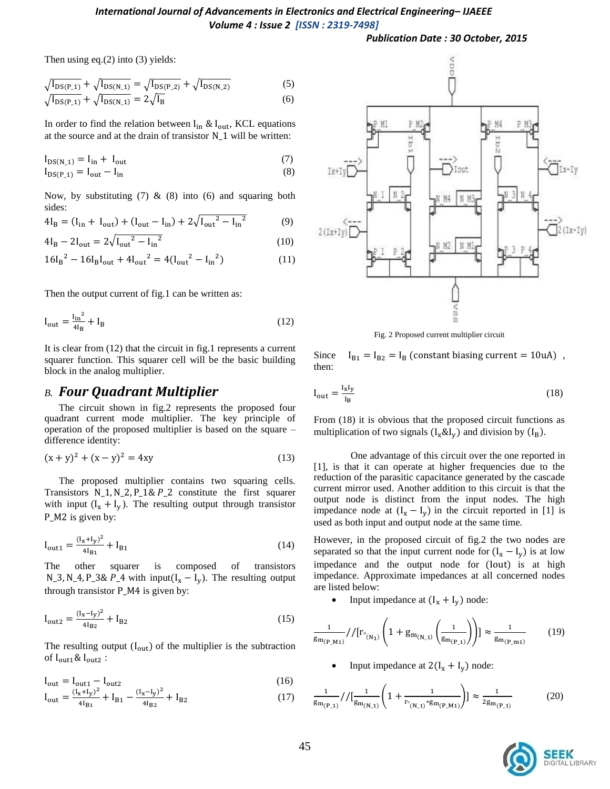#### *International Journal of Advancements in Electronics and Electrical Engineering– IJAEEE Volume 4 : Issue 2 [ISSN : 2319-7498]*

#### *Publication Date : 30 October, 2015*

Then using eq.(2) into (3) yields:

$$
\sqrt{\frac{I_{DS(P_1)}}{I_{DS(P_2)}}} + \sqrt{\frac{I_{DS(N_1)}}{I_{DS(N_2)}}} = \sqrt{\frac{I_{DS(P_2)}}{I_{DS(N_2)}}} + \sqrt{\frac{I_{DS(N_2)}}{I_{DS(N_1)}}}
$$
(5)

$$
\sqrt{I_{DS(P_1)}} + \sqrt{I_{DS(N_1)}} = 2\sqrt{I_B}
$$
 (6)

In order to find the relation between  $I_{in}$  &  $I_{out}$ , KCL equations at the source and at the drain of transistor  $N_1$  will be written:

$$
I_{DS(N 1)} = I_{in} + I_{out} \tag{7}
$$

$$
I_{DS(P_1)} = I_{out} - I_{in} \tag{8}
$$

Now, by substituting  $(7)$  &  $(8)$  into  $(6)$  and squaring both sides:

$$
4I_{B} = (I_{in} + I_{out}) + (I_{out} - I_{in}) + 2\sqrt{I_{out}^{2} - I_{in}^{2}}
$$
 (9)

$$
4I_{B} - 2I_{out} = 2\sqrt{I_{out}^{2} - I_{in}^{2}}
$$
 (10)

$$
16I_B^2 - 16I_BI_{out} + 4I_{out}^2 = 4(I_{out}^2 - I_{in}^2)
$$
 (11)

Then the output current of fig.1 can be written as:

$$
I_{\text{out}} = \frac{I_{\text{in}}^2}{4I_B} + I_B
$$
 (12)

It is clear from (12) that the circuit in fig.1 represents a current squarer function. This squarer cell will be the basic building block in the analog multiplier.

#### *B. Four Quadrant Multiplier*

The circuit shown in fig.2 represents the proposed four quadrant current mode multiplier. The key principle of operation of the proposed multiplier is based on the square – difference identity:

$$
(x+y)^2 + (x-y)^2 = 4xy
$$
 (13)

The proposed multiplier contains two squaring cells. Transistors  $N_1, N_2, P_1 \& P_2$  constitute the first squarer with input  $(I_x + I_y)$ . The resulting output through transistor P M2 is given by:

$$
I_{\text{out1}} = \frac{(I_x + I_y)^2}{4I_{\text{B1}}} + I_{\text{B1}} \tag{14}
$$

The other squarer is composed of transistors N\_3, N\_4, P\_3& P\_4 with input( $I_x - I_y$ ). The resulting output through transistor  $P_{M4}$  is given by:

$$
I_{\text{out2}} = \frac{(I_x - I_y)^2}{4I_{\text{B2}}} + I_{\text{B2}} \tag{15}
$$

The resulting output  $(I_{out})$  of the multiplier is the subtraction of  $I_{\text{out1}}$ &  $I_{\text{out2}}$ :

$$
I_{\text{out}} = I_{\text{out1}} - I_{\text{out2}} \tag{16}
$$

$$
I_{\text{out}} = \frac{(I_x + I_y)^2}{4I_{\text{B1}}} + I_{\text{B1}} - \frac{(I_x - I_y)^2}{4I_{\text{B2}}} + I_{\text{B2}}
$$
(17)



Fig. 2 Proposed current multiplier circuit

Since  $I_{B1} = I_{B2} = I_B$  (constant biasing current = 10uA), then:

$$
I_{out} = \frac{I_x I_y}{I_B} \tag{18}
$$

From (18) it is obvious that the proposed circuit functions as multiplication of two signals  $(I_x \& I_y)$  and division by  $(I_B)$ 

 One advantage of this circuit over the one reported in [1], is that it can operate at higher frequencies due to the reduction of the parasitic capacitance generated by the cascade current mirror used. Another addition to this circuit is that the output node is distinct from the input nodes. The high impedance node at  $(I_x - I_y)$  in the circuit reported in [1] is used as both input and output node at the same time.

However, in the proposed circuit of fig.2 the two nodes are separated so that the input current node for  $(I_x - I_y)$  is at low impedance and the output node for (lout) is at high impedance. Approximate impedances at all concerned nodes are listed below:

Input impedance at  $(I_x + I_y)$  node:

$$
\frac{1}{g_{m_{(P_1M_1)}}}//[r_{\circ_{(N_1)}}\left(1+g_{m_{(N_1)}}\left(\frac{1}{g_{m_{(P_1)}}}\right)\right)] \approx \frac{1}{g_{m_{(P_1m_1)}}}
$$
(19)

Input impedance at  $2(I_x + I_y)$  node:

$$
\frac{1}{g_{m_{(P_{-1})}}}/[ \frac{1}{g_{m_{(N_{-1})}}}(1+\frac{1}{r_{\circ_{(N_{-1})}}*g_{m_{(P_{-M1})}}})] \approx \frac{1}{2g_{m_{(P_{-1})}}}
$$
(20)

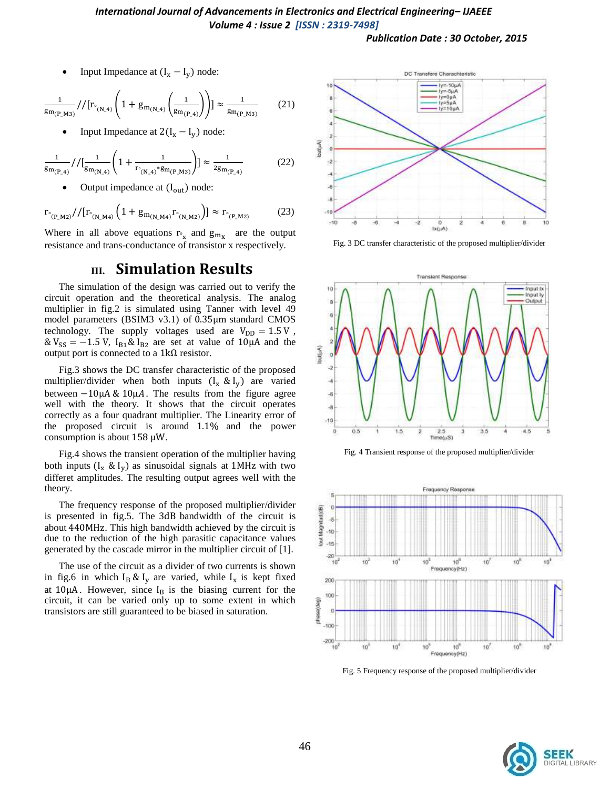#### *International Journal of Advancements in Electronics and Electrical Engineering– IJAEEE Volume 4 : Issue 2 [ISSN : 2319-7498]*

*Publication Date : 30 October, 2015*

Input Impedance at  $(I_x - I_v)$  node:

$$
\frac{1}{g_{m_{(P_1M3)}}}//[r_{\circ_{(N_4)}}\left(1+g_{m_{(N_4)}}\left(\frac{1}{g_{m_{(P_4)}}}\right)\right)] \approx \frac{1}{g_{m_{(P_1M3)}}}
$$
(21)

Input Impedance at  $2(I_x - I_y)$  node:

$$
\frac{1}{\text{Sm}_{(P_{-4})}} // \left[ \frac{1}{\text{Sm}_{(N_{-4})}} \left( 1 + \frac{1}{r_{\text{m}_{(N_{-4})}} \text{gm}_{(P_{-M3})}} \right) \right] \approx \frac{1}{2\text{gm}_{(P_{-4})}}
$$
(22)

Output impedance at  $(I_{out})$  node:

$$
r_{\circ_{(P_M_Z)}} // [r_{\circ_{(N_M_4)}} \left(1 + g_{m_{(N_M_4)}} r_{\circ_{(N_M_2)}}\right)] \approx r_{\circ_{(P_M_Z)}} \tag{23}
$$

Where in all above equations  $r_{\gamma}$  and  $g_{m_{\gamma}}$  are the output resistance and trans-conductance of transistor x respectively.

## **III. Simulation Results**

The simulation of the design was carried out to verify the circuit operation and the theoretical analysis. The analog multiplier in fig.2 is simulated using Tanner with level 49 model parameters (BSIM3 v3.1) of  $0.35 \mu m$  standard CMOS technology. The supply voltages used are  $V_{DD} = 1.5 V$ ,  $\& V_{SS} = -1.5 V$ ,  $I_{B1} \& I_{B2}$  are set at value of 10µA and the output port is connected to a  $1k\Omega$  resistor.

Fig.3 shows the DC transfer characteristic of the proposed multiplier/divider when both inputs  $(I_x \& I_y)$  are varied between  $-10\mu A \& 10\mu A$ . The results from the figure agree well with the theory. It shows that the circuit operates correctly as a four quadrant multiplier. The Linearity error of the proposed circuit is around 1.1% and the power consumption is about  $158 \mu W$ .

Fig.4 shows the transient operation of the multiplier having both inputs  $(I_x \& I_y)$  as sinusoidal signals at 1MHz with two differet amplitudes. The resulting output agrees well with the theory.

The frequency response of the proposed multiplier/divider is presented in fig.5. The 3dB bandwidth of the circuit is about 440MHz. This high bandwidth achieved by the circuit is due to the reduction of the high parasitic capacitance values generated by the cascade mirror in the multiplier circuit of [1].

The use of the circuit as a divider of two currents is shown in fig.6 in which  $I_B \& I_v$  are varied, while  $I_x$  is kept fixed at  $10\mu A$ . However, since  $I_B$  is the biasing current for the circuit, it can be varied only up to some extent in which transistors are still guaranteed to be biased in saturation.



Fig. 3 DC transfer characteristic of the proposed multiplier/divider







Fig. 5 Frequency response of the proposed multiplier/divider

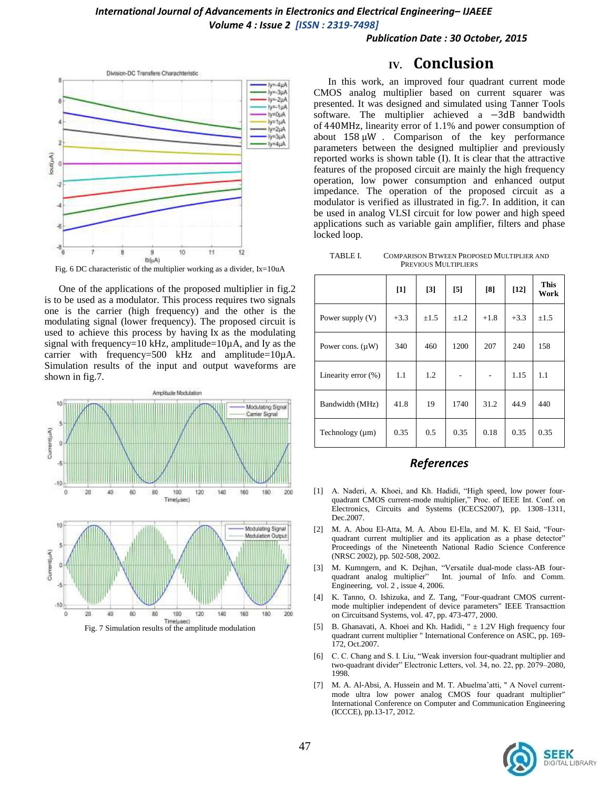#### *Publication Date : 30 October, 2015*



Fig. 6 DC characteristic of the multiplier working as a divider, Ix=10uA

One of the applications of the proposed multiplier in fig.2 is to be used as a modulator. This process requires two signals one is the carrier (high frequency) and the other is the modulating signal (lower frequency). The proposed circuit is used to achieve this process by having Ix as the modulating signal with frequency=10 kHz, amplitude= $10\mu$ A, and Iy as the carrier with frequency=500 kHz and amplitude= $10\mu$ A. Simulation results of the input and output waveforms are shown in fig.7.





## **IV. Conclusion**

In this work, an improved four quadrant current mode CMOS analog multiplier based on current squarer was presented. It was designed and simulated using Tanner Tools software. The multiplier achieved a  $-3dB$  bandwidth of 440MHz, linearity error of  $1.1\%$  and power consumption of about  $158 \mu W$ . Comparison of the key performance parameters between the designed multiplier and previously reported works is shown table (I). It is clear that the attractive features of the proposed circuit are mainly the high frequency operation, low power consumption and enhanced output impedance. The operation of the proposed circuit as a modulator is verified as illustrated in fig.7. In addition, it can be used in analog VLSI circuit for low power and high speed applications such as variable gain amplifier, filters and phase locked loop.

TABLE I. COMPARISON BTWEEN PROPOSED MULTIPLIER AND PREVIOUS MULTIPLIERS

|                       | $\lceil 1 \rceil$ | $\lceil 3 \rceil$ | [5]       | [8]    | $[12]$ | <b>This</b><br>Work |
|-----------------------|-------------------|-------------------|-----------|--------|--------|---------------------|
| Power supply $(V)$    | $+3.3$            | $\pm 1.5$         | $\pm 1.2$ | $+1.8$ | $+3.3$ | $\pm 1.5$           |
| Power cons. $(\mu W)$ | 340               | 460               | 1200      | 207    | 240    | 158                 |
| Linearity error (%)   | 1.1               | 1.2               |           |        | 1.15   | 1.1                 |
| Bandwidth (MHz)       | 41.8              | 19                | 1740      | 31.2   | 44.9   | 440                 |
| Technology $(\mu m)$  | 0.35              | 0.5               | 0.35      | 0.18   | 0.35   | 0.35                |

## *References*

- [1] A. Naderi, A. Khoei, and Kh. Hadidi, "High speed, low power fourquadrant CMOS current-mode multiplier," Proc. of IEEE Int. Conf. on Electronics, Circuits and Systems (ICECS2007), pp. 1308–1311, Dec.2007.
- [2] M. A. Abou El-Atta, M. A. Abou El-Ela, and M. K. El Said, "Fourquadrant current multiplier and its application as a phase detector" Proceedings of the Nineteenth National Radio Science Conference (NRSC 2002), pp. 502-508, 2002.
- [3] M. Kumngern, and K. Dejhan, "Versatile dual-mode class-AB four-Int. journal of Info. and Comm. Engineering, vol. 2 , issue 4, 2006.
- [4] K. Tanno, O. Ishizuka, and Z. Tang, "Four-quadrant CMOS currentmode multiplier independent of device parameters" IEEE Transacttion on Circuitsand Systems, vol. 47, pp. 473-477, 2000.
- [5] B. Ghanavati, A. Khoei and Kh. Hadidi, " $\pm$  1.2V High frequency four quadrant current multiplier " International Conference on ASIC, pp. 169- 172, Oct.2007.
- [6] C. C. Chang and S. I. Liu, "Weak inversion four-quadrant multiplier and two-quadrant divider" Electronic Letters, vol. 34, no. 22, pp. 2079–2080, 1998.
- [7] M. A. Al-Absi, A. Hussein and M. T. Abuelma'atti, " A Novel currentmode ultra low power analog CMOS four quadrant multiplier" International Conference on Computer and Communication Engineering (ICCCE), pp.13-17, 2012.